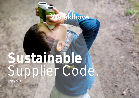## Wereldhove

# **Sustainable**  Supplier Code.

March 2020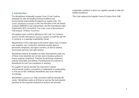#### 2

#### **1. Introduction**

The Wereldhave Sustainable Supplier Code ("Code") defines standards for safe and healthy working conditions and environmental responsibility throughout our supply chain. The Code's standards are based on the Ten Principles of the UN Global Compact, BREEAM-In-Use requirements, and the International Labor Organization (ILO) conventions. The Code is part of Wereldhave's CSR program "A Better Tomorrow".

All suppliers must commit to adhering to the Code. For contracts above € 10.000, Wereldhave requires suppliers to explicitly sign off in contracts, in a separate sustainability charter.

Requirements in this Code apply to the whole supply chain, including sub-‐suppliers, sub-‐contractors. Standards equally apply to permanent, temporary, and agency workers, as well as salaried, hourly paid, part time, and night workers.

Wereldhave expects all suppliers to make improvements when any of these Code standards are not met, and to develop systems to ensure ongoing compliance. Timelines for achieving compliance shall be reasonable and defined. Providing proof of correction to Wereldhave for each non-compliance is required.

If a supplier or service provider has endorsed or signed environmental charters, conventions or statements on sustainability, or if he has an ISO certificate, Wereldhave asks to be informed accordingly.

Wereldhave's mission is to "help consumers fulfill all everyday life needs." Wereldhave seeks at all times to exercise the best possible practices for the respectful treatment of workers and promote

sustainable conditions in which our suppliers operate in safe and healthy workplaces.

This Code replaces the Supplier Code of Conduct from 2018.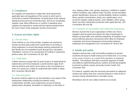#### **2. Compliance**

Our suppliers are expected to comply with: (1) all relevant and applicable laws and regulations of the country in which work is conducted on behalf of Wereldhave, including those at the national, state/provincial and local community levels, and (2) our Sustainable Supplier Code. When differences or conflicts in standards arise, suppliers are expected to comply with the highest standard that is the most in favor of the employees and the environment.

#### **3. Human and labor rights**

#### **3.1. Forced labor**

There shall be no use of forced labor. Suppliers are required to monitor any third party entity which assists them in recruiting or hiring employees, to ensure that people seeking employment at their facility are not compelled to work through force, deception, intimidation, coercion or as a punishment for holding or expressing political views. (ILO Conventions 29, 105, 182)

#### **3.2. Child labor**

Children (persons younger than 15 years of age or as determined by national law), will not be employed. Juvenile workers (ages 15-17) shall not perform work which, by its nature or the circumstances in which it is carried out, is likely to compromise their health or safety. (ILO Convention 138 and 182)

#### **3.3. Discrimination**

No person shall be subject to any discrimination in any aspect of the employment, relationship including recruitment, hiring, compensation, benefits, work assignments, access to training, advancement, discipline, termination or retirement, on the basis of

race, religious belief, color, gender, pregnancy, childbirth or related medical conditions, age, national origin, ancestry, sexual orientation, gender identification, physical or mental disability, medical condition, illness, genetic characteristics, family care, marital status, socioeconomic situation, political opinion, union affiliation, ethnic group, illness any other classification protected under applicable law. (ILO Conventions 100 and 111)

#### **3.4. Freedom of association and collective bargaining**

Workers must be free to join organizations of their own choice. Suppliers shall recognize and respect the right of employees to freedom of association and collective bargaining. All suppliers must ensure effective grievance mechanisms which allow for employee complaints, and ensure transparent communication between employees and management. (ILO Conventions 87, 98 and 135)

#### **4. Health and safety**

Suppliers shall provide a safe and healthy workplace to prevent accidents and injury to health arising out of, linked with, or occurring in the course of work or as a result of the operation of employers' facilities. The employer shall take a proactive approach to health and safety by implementing policies, systems and training designed to prevent accidents, injuries and protect worker health. (ILO Convention 155)

For instance, suppliers take the necessary precautions to safeguard workers and visitors from dust, chemical products or other forms of nuisance during refurbishment or renovation works.

Wereldhave aims for zero safety incidents at our assets.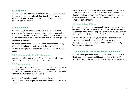#### **5. Corruption**

Suppliers shall not commit fiscal fraud and abstain from mechanisms for tax evasion and money laundering. Suppliers shall not be involved in any form of corruption, including bribery, extortion or other attempts to influence.

#### **6. Environment**

Suppliers shall, were applicable, disclose to Wereldhave, their energy and natural resource usage, emissions, discharges, carbon footprint and disposal of wastes and minimize negative impacts on the environment as much as possible, and have measures in place to continuously improve.

If suppliers cannot or do not have their own environmental policy, signing the sustainability charter, as part of overall contracts between the supplier and Wereldhave, implies compliance with this Code.

#### **6.1. Environmentally friendly alternatives**

Suppliers will inform and propose Wereldhave proactively in case more environmentally friendly alternatives exist.

#### **6.2. Transportation**

Suppliers are expected to limit the amount of transportation required for Wereldhave and to choose the most sustainable forms of transportation according to the following principle: walk, cycle, public transport, electric car/truck,  $-$  if possible.

Wereldhave favours local suppliers and receiving products via sustainable forms of transport, so their environmental impact can be reduced.

Wereldhave aims for 25% of all contracted suppliers to be locally based within 25 km of the asset and/or 25% of all suppliers should sign the sustainability charter confirming transport that is used to deliver materials and/or persons is sustainable, i.e. low CO2 emissions from transport.

#### **6.3. Materials and Waste**

Suppliers will, when choosing materials, use as many recycled or cradle-to-cradle materials as possible. Suppliers are encouraged to purchase materials as much as possible that result in waste that can be reused or recycled without any form of harm to the ecosystem.

While working for Wereldhave, suppliers shall separate at least 4 waste streams. Suppliers ensure careful handling of waste to a nearby processing facility, in cases where suppliers do not rely on Wereldhave infrastructure.

#### **7. Maintenance and procurement requirements**

Suppliers are expected to adhere to the Wereldhave Sustainable Maintenance and Procurement Manual for specific (technical) requirements on materials and methods, in line with BREEAM-in-Use.